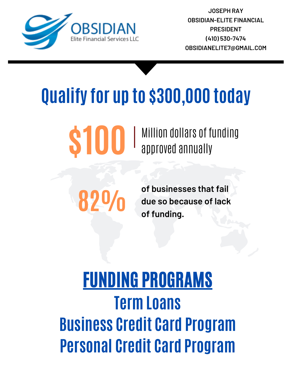**of businesses that fail due so because of lack of funding.**

### FUNDING PROGRAMS **Term Loans Business Credit Card Program Personal Credit Card Program**

## **Qualify for up to \$300,000 today**

# **\$100** Million dollars of funding



**JOSEPH RAY OBSIDIAN-ELITE FINANCIAL PRESIDENT (410) [530-7474](mailto:gina@gbcommercialloans.com) [OBSIDIANELITE7@GMAIL.COM](mailto:epinvestmentsllc@yahoo.com)**

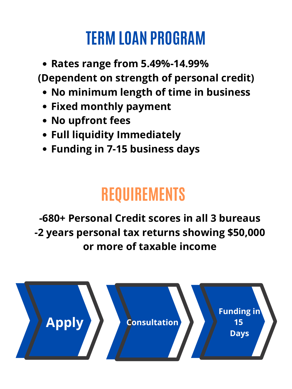- **Rates range from 5.49%-14.99% (Dependent on strength of personal credit)**
	- **No minimum length of time in business**
	- **Fixed monthly payment**
	- **No upfront fees**
	- **Full liquidity Immediately**
	- **Funding in 7-15 business days**

#### **REQUIREME**

#### **TERM LOAN PROGRAM**

#### **-680+ Personal Credit scores in all 3 bureaus -2 years personal tax returns showing \$50,000 or more of taxable income**

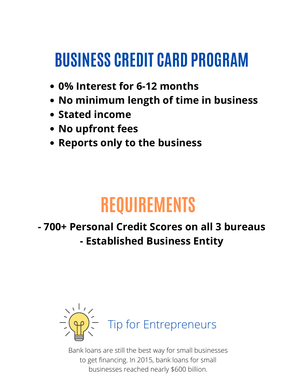#### **BUSINESS CREDIT CARD PROGRAM**

- **0% Interest for 6-12 months**
- **No minimum length of time in business**
- **Stated income**
- **No upfront fees**
- **Reports only to the business**

#### **REQUIREMENTS**

#### **- 700+ Personal Credit Scores on all 3 bureaus - Established Business Entity**



Bank loans are still the best way for small businesses to get financing. In 2015, bank loans for small businesses reached nearly \$600 billion.